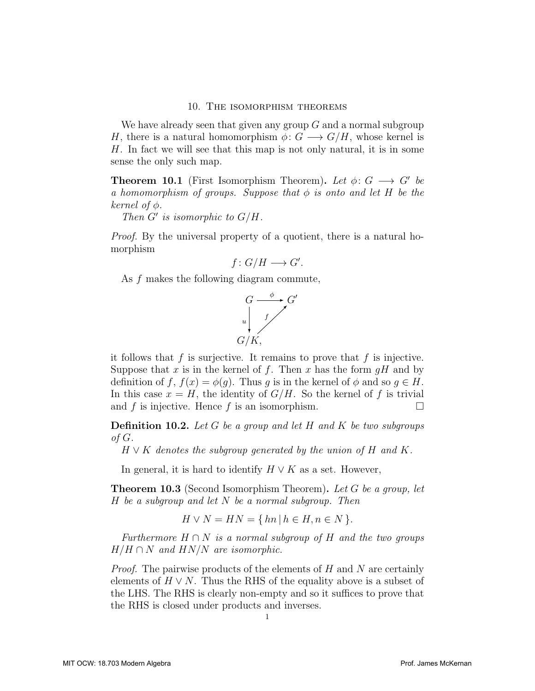## 10. The isomorphism theorems

We have already seen that given any group  $G$  and a normal subgroup H, there is a natural homomorphism  $\phi: G \longrightarrow G/H$ , whose kernel is H. In fact we will see that this map is not only natural, it is in some sense the only such map.

**Theorem 10.1** (First Isomorphism Theorem). Let  $\phi: G \longrightarrow G'$  be a homomorphism of groups. Suppose that  $\phi$  is onto and let H be the kernel of  $\phi$ .

Then  $G'$  is isomorphic to  $G/H$ .

Proof. By the universal property of a quotient, there is a natural homorphism

$$
f\colon G/H\longrightarrow G'.
$$

As f makes the following diagram commute,



it follows that  $f$  is surjective. It remains to prove that  $f$  is injective. Suppose that x is in the kernel of f. Then x has the form  $gH$  and by definition of f,  $f(x) = \phi(g)$ . Thus g is in the kernel of  $\phi$  and so  $g \in H$ . In this case  $x = H$ , the identity of  $G/H$ . So the kernel of f is trivial and f is injective. Hence f is an isomorphism.  $\Box$ 

**Definition 10.2.** Let G be a group and let H and K be two subgroups of G.

 $H \vee K$  denotes the subgroup generated by the union of H and K.

In general, it is hard to identify  $H \vee K$  as a set. However,

**Theorem 10.3** (Second Isomorphism Theorem). Let G be a group, let  $H$  be a subgroup and let  $N$  be a normal subgroup. Then

$$
H \vee N = HN = \{ hn \mid h \in H, n \in N \}.
$$

Furthermore  $H \cap N$  is a normal subgroup of H and the two groups  $H/H \cap N$  and  $HN/N$  are isomorphic.

*Proof.* The pairwise products of the elements of  $H$  and  $N$  are certainly elements of  $H \vee N$ . Thus the RHS of the equality above is a subset of the LHS. The RHS is clearly non-empty and so it suffices to prove that the RHS is closed under products and inverses.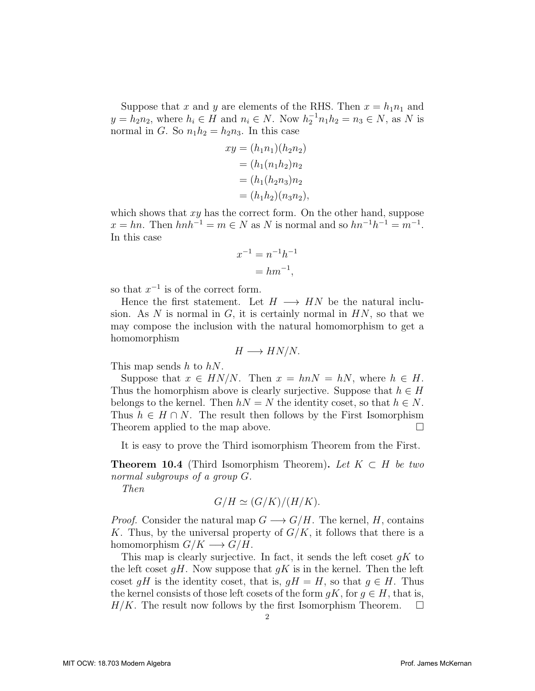Suppose that x and y are elements of the RHS. Then  $x = h_1 n_1$  and  $y = h_2 n_2$ , where  $h_i \in H$  and  $n_i \in N$ . Now  $h_2^{-1} n_1 h_2 = n_3 \in N$ , as N is normal in G. So  $n_1h_2 = h_2n_3$ . In this case

$$
xy = (h_1 n_1)(h_2 n_2)
$$
  
=  $(h_1 (n_1 h_2) n_2$   
=  $(h_1 (h_2 n_3) n_2$   
=  $(h_1 h_2)(n_3 n_2)$ ,

which shows that  $xy$  has the correct form. On the other hand, suppose  $x = hn$ . Then  $hnh^{-1} = m \in N$  as N is normal and so  $hn^{-1}h^{-1} = m^{-1}$ . In this case

$$
x^{-1} = n^{-1}h^{-1}
$$

$$
= hm^{-1},
$$

so that  $x^{-1}$  is of the correct form.

Hence the first statement. Let  $H \longrightarrow HN$  be the natural inclusion. As N is normal in  $G$ , it is certainly normal in  $HN$ , so that we may compose the inclusion with the natural homomorphism to get a homomorphism

$$
H \longrightarrow HN/N.
$$

This map sends  $h$  to  $hN$ .

Suppose that  $x \in HN/N$ . Then  $x = hnN = hN$ , where  $h \in H$ . Thus the homorphism above is clearly surjective. Suppose that  $h \in H$ belongs to the kernel. Then  $hN = N$  the identity coset, so that  $h \in N$ . Thus  $h \in H \cap N$ . The result then follows by the First Isomorphism Theorem applied to the map above.  $\Box$ 

It is easy to prove the Third isomorphism Theorem from the First.

**Theorem 10.4** (Third Isomorphism Theorem). Let  $K \subset H$  be two normal subgroups of a group G.

Then

$$
G/H \simeq (G/K)/(H/K).
$$

*Proof.* Consider the natural map  $G \longrightarrow G/H$ . The kernel, H, contains K. Thus, by the universal property of  $G/K$ , it follows that there is a homomorphism  $G/K \longrightarrow G/H$ .

This map is clearly surjective. In fact, it sends the left coset  $qK$  to the left coset  $gH$ . Now suppose that  $gK$  is in the kernel. Then the left coset qH is the identity coset, that is,  $qH = H$ , so that  $q \in H$ . Thus the kernel consists of those left cosets of the form  $qK$ , for  $q \in H$ , that is,  $H/K$ . The result now follows by the first Isomorphism Theorem.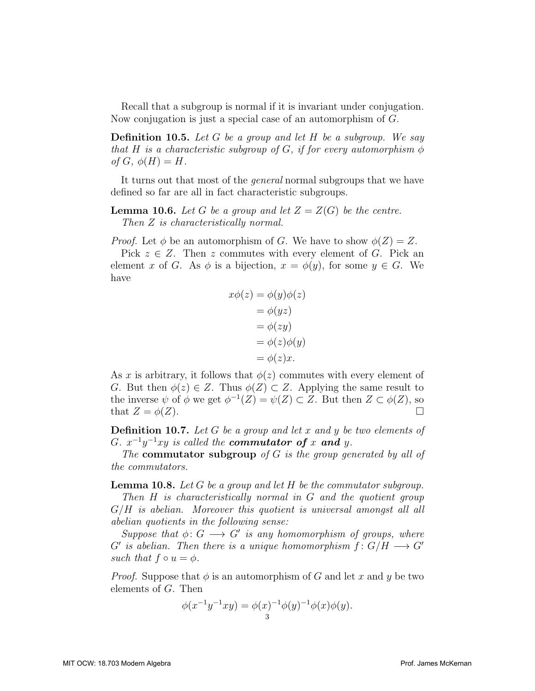Recall that a subgroup is normal if it is invariant under conjugation. Now conjugation is just a special case of an automorphism of G.

**Definition 10.5.** Let G be a group and let H be a subgroup. We say that H is a characteristic subgroup of G, if for every automorphism  $\phi$ of  $G, \phi(H) = H$ .

It turns out that most of the *general* normal subgroups that we have defined so far are all in fact characteristic subgroups.

**Lemma 10.6.** Let G be a group and let  $Z = Z(G)$  be the centre. Then Z is characteristically normal.

*Proof.* Let  $\phi$  be an automorphism of G. We have to show  $\phi(Z) = Z$ .

Pick  $z \in Z$ . Then z commutes with every element of G. Pick an element x of G. As  $\phi$  is a bijection,  $x = \phi(y)$ , for some  $y \in G$ . We have

$$
x\phi(z) = \phi(y)\phi(z)
$$
  
=  $\phi(yz)$   
=  $\phi(zy)$   
=  $\phi(z)\phi(y)$   
=  $\phi(z)x$ .

As x is arbitrary, it follows that  $\phi(z)$  commutes with every element of G. But then  $\phi(z) \in Z$ . Thus  $\phi(Z) \subset Z$ . Applying the same result to the inverse  $\psi$  of  $\phi$  we get  $\phi^{-1}(Z) = \psi(Z) \subset Z$ . But then  $Z \subset \phi(Z)$ , so that  $Z = \phi(Z)$ .

**Definition 10.7.** Let  $G$  be a group and let  $x$  and  $y$  be two elements of G.  $x^{-1}y^{-1}xy$  is called the **commutator of** x and y.

The commutator subgroup of  $G$  is the group generated by all of the commutators.

**Lemma 10.8.** Let G be a group and let H be the commutator subgroup.

Then H is characteristically normal in G and the quotient group  $G/H$  is abelian. Moreover this quotient is universal amongst all all abelian quotients in the following sense:

Suppose that  $\phi: G \longrightarrow G'$  is any homomorphism of groups, where  $G'$  is abelian. Then there is a unique homomorphism  $f: G/H \longrightarrow G'$ such that  $f \circ u = \phi$ .

*Proof.* Suppose that  $\phi$  is an automorphism of G and let x and y be two elements of G. Then

$$
\phi(x^{-1}y^{-1}xy) = \phi(x)^{-1}\phi(y)^{-1}\phi(x)\phi(y).
$$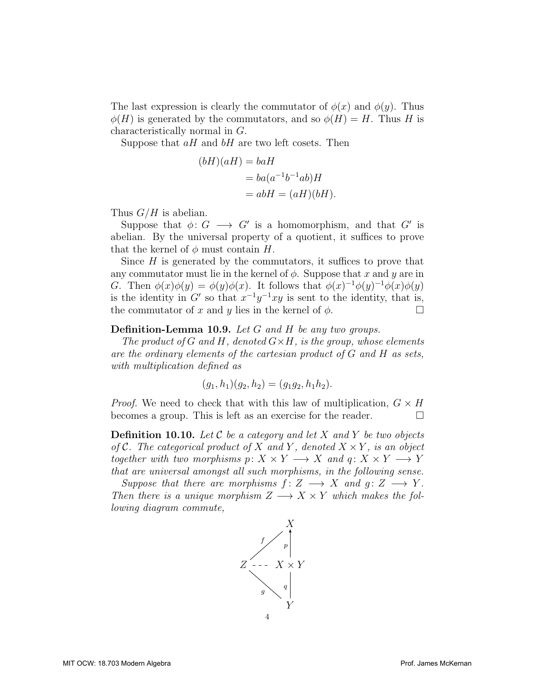The last expression is clearly the commutator of  $\phi(x)$  and  $\phi(y)$ . Thus  $\phi(H)$  is generated by the commutators, and so  $\phi(H) = H$ . Thus H is characteristically normal in G.

Suppose that  $aH$  and  $bH$  are two left cosets. Then

$$
(bH)(aH) = baH
$$
  
=  $ba(a^{-1}b^{-1}ab)H$   
=  $abH = (aH)(bH)$ .

Thus  $G/H$  is abelian.

Suppose that  $\phi: G \longrightarrow G'$  is a homomorphism, and that G' is abelian. By the universal property of a quotient, it suffices to prove that the kernel of  $\phi$  must contain H.

Since  $H$  is generated by the commutators, it suffices to prove that any commutator must lie in the kernel of  $\phi$ . Suppose that x and y are in G. Then  $\phi(x)\phi(y) = \phi(y)\phi(x)$ . It follows that  $\phi(x)^{-1}\phi(y)^{-1}\phi(x)\phi(y)$ is the identity in G' so that  $x^{-1}y^{-1}xy$  is sent to the identity, that is, the commutator of x and y lies in the kernel of  $\phi$ .

## <span id="page-3-0"></span>Definition-Lemma 10.9. Let G and H be any two groups.

The product of G and H, denoted  $G \times H$ , is the group, whose elements are the ordinary elements of the cartesian product of G and H as sets, with multiplication defined as

$$
(g_1, h_1)(g_2, h_2) = (g_1g_2, h_1h_2).
$$

*Proof.* We need to check that with this law of multiplication,  $G \times H$ becomes a group. This is left as an exercise for the reader.  $\Box$ 

<span id="page-3-1"></span>**Definition 10.10.** Let C be a category and let X and Y be two objects of C. The categorical product of X and Y, denoted  $X \times Y$ , is an object together with two morphisms  $p: X \times Y \longrightarrow X$  and  $q: X \times Y \longrightarrow Y$ that are universal amongst all such morphisms, in the following sense.

Suppose that there are morphisms  $f: Z \longrightarrow X$  and  $g: Z \longrightarrow Y$ . Then there is a unique morphism  $Z \longrightarrow X \times Y$  which makes the following diagram commute,

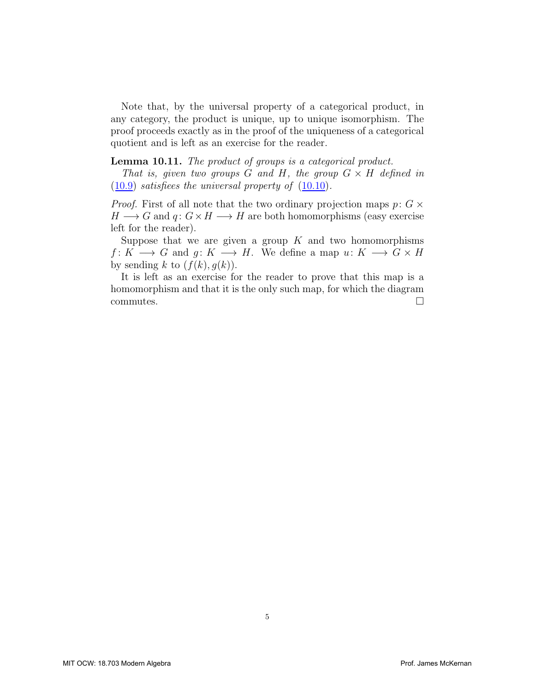Note that, by the universal property of a categorical product, in any category, the product is unique, up to unique isomorphism. The proof proceeds exactly as in the proof of the uniqueness of a categorical quotient and is left as an exercise for the reader.

Lemma 10.11. The product of groups is a categorical product.

That is, given two groups G and H, the group  $G \times H$  defined in ([10.9](#page-3-0)) satisfiees the universal property of ([10.10](#page-3-1)).

*Proof.* First of all note that the two ordinary projection maps  $p: G \times$  $H \longrightarrow G$  and  $q: G \times H \longrightarrow H$  are both homomorphisms (easy exercise left for the reader).

Suppose that we are given a group  $K$  and two homomorphisms  $f: K \longrightarrow G$  and  $g: K \longrightarrow H$ . We define a map  $u: K \longrightarrow G \times H$ by sending k to  $(f(k), g(k))$ .

It is left as an exercise for the reader to prove that this map is a homomorphism and that it is the only such map, for which the diagram commutes. D